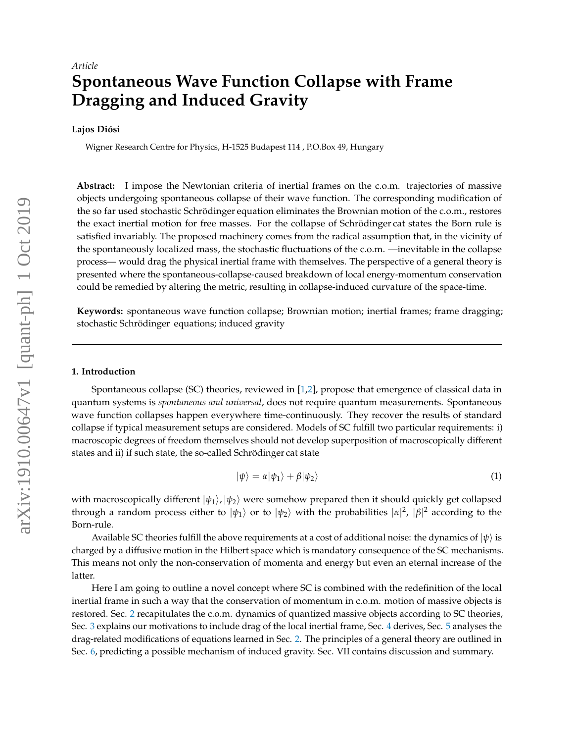# **Spontaneous Wave Function Collapse with Frame Dragging and Induced Gravity**

# **Lajos Diósi**

Wigner Research Centre for Physics, H-1525 Budapest 114 , P.O.Box 49, Hungary

**Abstract:** I impose the Newtonian criteria of inertial frames on the c.o.m. trajectories of massive objects undergoing spontaneous collapse of their wave function. The corresponding modification of the so far used stochastic Schrödinger equation eliminates the Brownian motion of the c.o.m., restores the exact inertial motion for free masses. For the collapse of Schrödinger cat states the Born rule is satisfied invariably. The proposed machinery comes from the radical assumption that, in the vicinity of the spontaneously localized mass, the stochastic fluctuations of the c.o.m. —inevitable in the collapse process— would drag the physical inertial frame with themselves. The perspective of a general theory is presented where the spontaneous-collapse-caused breakdown of local energy-momentum conservation could be remedied by altering the metric, resulting in collapse-induced curvature of the space-time.

**Keywords:** spontaneous wave function collapse; Brownian motion; inertial frames; frame dragging; stochastic Schrödinger equations; induced gravity

# **1. Introduction**

Spontaneous collapse (SC) theories, reviewed in [\[1](#page-9-0)[,2\]](#page-9-1), propose that emergence of classical data in quantum systems is *spontaneous and universal*, does not require quantum measurements. Spontaneous wave function collapses happen everywhere time-continuously. They recover the results of standard collapse if typical measurement setups are considered. Models of SC fulfill two particular requirements: i) macroscopic degrees of freedom themselves should not develop superposition of macroscopically different states and ii) if such state, the so-called Schrödinger cat state

<span id="page-0-0"></span>
$$
|\psi\rangle = \alpha |\psi_1\rangle + \beta |\psi_2\rangle \tag{1}
$$

with macroscopically different  $|\psi_1\rangle$ ,  $|\psi_2\rangle$  were somehow prepared then it should quickly get collapsed through a random process either to  $|\psi_1\rangle$  or to  $|\psi_2\rangle$  with the probabilities  $|\alpha|^2$ ,  $|\beta|^2$  according to the Born-rule.

Available SC theories fulfill the above requirements at a cost of additional noise: the dynamics of  $|\psi\rangle$  is charged by a diffusive motion in the Hilbert space which is mandatory consequence of the SC mechanisms. This means not only the non-conservation of momenta and energy but even an eternal increase of the latter.

Here I am going to outline a novel concept where SC is combined with the redefinition of the local inertial frame in such a way that the conservation of momentum in c.o.m. motion of massive objects is restored. Sec. [2](#page-1-0) recapitulates the c.o.m. dynamics of quantized massive objects according to SC theories, Sec. [3](#page-1-1) explains our motivations to include drag of the local inertial frame, Sec. [4](#page-3-0) derives, Sec. [5](#page-4-0) analyses the drag-related modifications of equations learned in Sec. [2.](#page-1-0) The principles of a general theory are outlined in Sec. [6,](#page-5-0) predicting a possible mechanism of induced gravity. Sec. VII contains discussion and summary.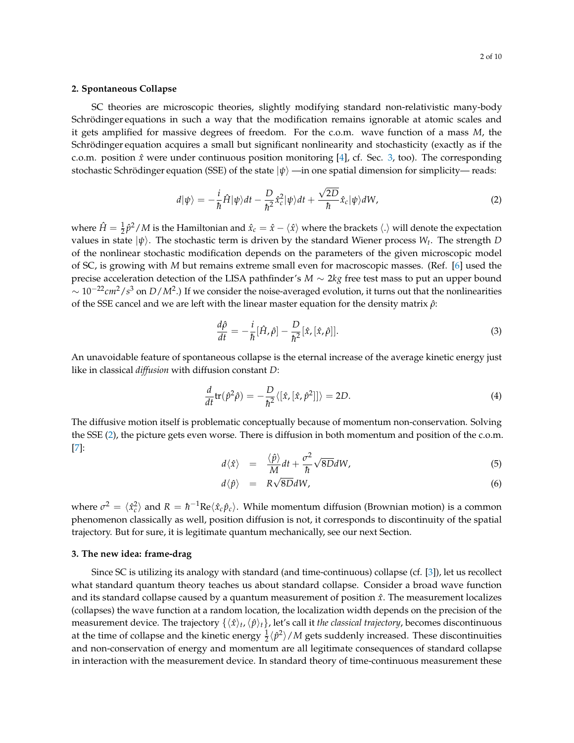#### <span id="page-1-0"></span>**2. Spontaneous Collapse**

SC theories are microscopic theories, slightly modifying standard non-relativistic many-body Schrödinger equations in such a way that the modification remains ignorable at atomic scales and it gets amplified for massive degrees of freedom. For the c.o.m. wave function of a mass *M*, the Schrödinger equation acquires a small but significant nonlinearity and stochasticity (exactly as if the c.o.m. position  $\hat{x}$  were under continuous position monitoring [\[4\]](#page-9-2), cf. Sec. [3,](#page-1-1) too). The corresponding stochastic Schrödinger equation (SSE) of the state  $|\psi\rangle$  —in one spatial dimension for simplicity— reads:

<span id="page-1-2"></span>
$$
d|\psi\rangle = -\frac{i}{\hbar}\hat{H}|\psi\rangle dt - \frac{D}{\hbar^2}\hat{x}_c^2|\psi\rangle dt + \frac{\sqrt{2D}}{\hbar}\hat{x}_c|\psi\rangle dW,\tag{2}
$$

where  $\hat{H}=\frac{1}{2}\hat{p}^2/M$  is the Hamiltonian and  $\hat{x}_c=\hat{x}-\langle \hat{x} \rangle$  where the brackets  $\langle . \rangle$  will denote the expectation values in state  $|\psi\rangle$ . The stochastic term is driven by the standard Wiener process  $W_t$ . The strength  $D$ of the nonlinear stochastic modification depends on the parameters of the given microscopic model of SC, is growing with *M* but remains extreme small even for macroscopic masses. (Ref. [\[6\]](#page-9-3) used the precise acceleration detection of the LISA pathfinder's *M* ∼ 2*kg* free test mass to put an upper bound ∼ 10−22*cm*2/*s* <sup>3</sup> on *D*/*M*<sup>2</sup> .) If we consider the noise-averaged evolution, it turns out that the nonlinearities of the SSE cancel and we are left with the linear master equation for the density matrix *ρ*ˆ:

<span id="page-1-4"></span>
$$
\frac{d\hat{\rho}}{dt} = -\frac{i}{\hbar} [\hat{H}, \hat{\rho}] - \frac{D}{\hbar^2} [\hat{x}, [\hat{x}, \hat{\rho}]].
$$
\n(3)

An unavoidable feature of spontaneous collapse is the eternal increase of the average kinetic energy just like in classical *diffusion* with diffusion constant *D*:

<span id="page-1-5"></span>
$$
\frac{d}{dt}\text{tr}(\hat{p}^2\hat{\rho}) = -\frac{D}{\hbar^2}\langle[\hat{x},[\hat{x},\hat{p}^2]]\rangle = 2D.
$$
\n(4)

The diffusive motion itself is problematic conceptually because of momentum non-conservation. Solving the SSE [\(2\)](#page-1-2), the picture gets even worse. There is diffusion in both momentum and position of the c.o.m. [\[7\]](#page-9-4):

<span id="page-1-3"></span>
$$
d\langle \hat{x} \rangle = \frac{\langle \hat{p} \rangle}{M} dt + \frac{\sigma^2}{\hbar} \sqrt{8D} dW, \tag{5}
$$

$$
d\langle \hat{p} \rangle = R\sqrt{8D}dW, \tag{6}
$$

where  $\sigma^2 = \langle \hat{x}_c^2 \rangle$  and  $R = \hbar^{-1} \text{Re} \langle \hat{x}_c \hat{p}_c \rangle$ . While momentum diffusion (Brownian motion) is a common phenomenon classically as well, position diffusion is not, it corresponds to discontinuity of the spatial trajectory. But for sure, it is legitimate quantum mechanically, see our next Section.

#### <span id="page-1-1"></span>**3. The new idea: frame-drag**

Since SC is utilizing its analogy with standard (and time-continuous) collapse (cf. [\[3\]](#page-9-5)), let us recollect what standard quantum theory teaches us about standard collapse. Consider a broad wave function and its standard collapse caused by a quantum measurement of position  $\hat{x}$ . The measurement localizes (collapses) the wave function at a random location, the localization width depends on the precision of the measurement device. The trajectory  $\{\langle \hat{x}\rangle_t,\langle \hat{p}\rangle_t\}$ , let's call it *the classical trajectory,* becomes discontinuous at the time of collapse and the kinetic energy  $\frac{1}{2}\langle\hat{p}^2\rangle/M$  gets suddenly increased. These discontinuities and non-conservation of energy and momentum are all legitimate consequences of standard collapse in interaction with the measurement device. In standard theory of time-continuous measurement these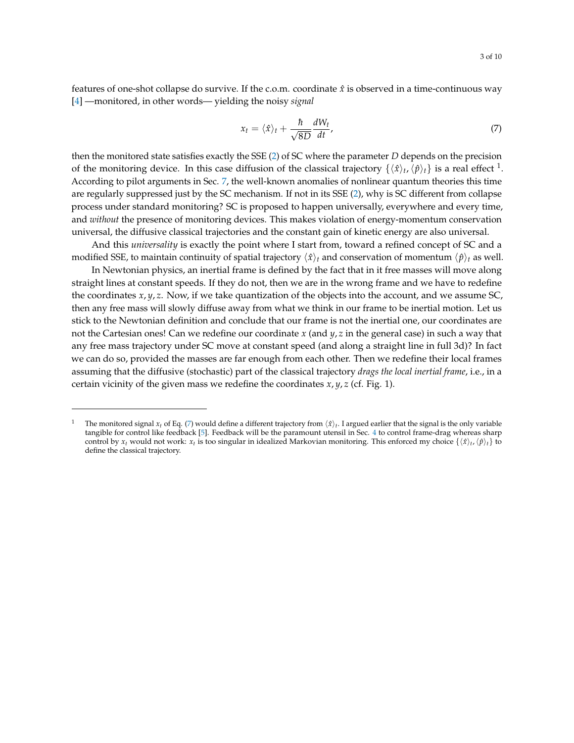3 of 10

features of one-shot collapse do survive. If the c.o.m. coordinate  $\hat{x}$  is observed in a time-continuous way [\[4\]](#page-9-2) —monitored, in other words— yielding the noisy *signal*

<span id="page-2-0"></span>
$$
x_t = \langle \hat{x} \rangle_t + \frac{\hbar}{\sqrt{8D}} \frac{dW_t}{dt},\tag{7}
$$

then the monitored state satisfies exactly the SSE [\(2\)](#page-1-2) of SC where the parameter *D* depends on the precision of the monitoring device. In this case diffusion of the classical trajectory  $\{\langle \hat{x}\rangle_t, \langle \hat{p}\rangle_t\}$  is a real effect <sup>1</sup>. According to pilot arguments in Sec. [7,](#page-7-0) the well-known anomalies of nonlinear quantum theories this time are regularly suppressed just by the SC mechanism. If not in its SSE [\(2\)](#page-1-2), why is SC different from collapse process under standard monitoring? SC is proposed to happen universally, everywhere and every time, and *without* the presence of monitoring devices. This makes violation of energy-momentum conservation universal, the diffusive classical trajectories and the constant gain of kinetic energy are also universal.

And this *universality* is exactly the point where I start from, toward a refined concept of SC and a modified SSE, to maintain continuity of spatial trajectory  $\langle \hat{x} \rangle_t$  and conservation of momentum  $\langle \hat{p} \rangle_t$  as well.

In Newtonian physics, an inertial frame is defined by the fact that in it free masses will move along straight lines at constant speeds. If they do not, then we are in the wrong frame and we have to redefine the coordinates *x*, *y*, *z*. Now, if we take quantization of the objects into the account, and we assume SC, then any free mass will slowly diffuse away from what we think in our frame to be inertial motion. Let us stick to the Newtonian definition and conclude that our frame is not the inertial one, our coordinates are not the Cartesian ones! Can we redefine our coordinate *x* (and *y*, *z* in the general case) in such a way that any free mass trajectory under SC move at constant speed (and along a straight line in full 3d)? In fact we can do so, provided the masses are far enough from each other. Then we redefine their local frames assuming that the diffusive (stochastic) part of the classical trajectory *drags the local inertial frame*, i.e., in a certain vicinity of the given mass we redefine the coordinates  $x, y, z$  (cf. Fig. 1).

<sup>&</sup>lt;sup>1</sup> The monitored signal  $x_t$  of Eq. [\(7\)](#page-2-0) would define a different trajectory from  $\langle \hat{x} \rangle_t$ . I argued earlier that the signal is the only variable tangible for control like feedback [\[5\]](#page-9-6). Feedback will be the paramount utensil in Sec. [4](#page-3-0) to control frame-drag whereas sharp control by  $x_t$  would not work:  $x_t$  is too singular in idealized Markovian monitoring. This enforced my choice  $\{\langle \hat{x} \rangle_t, \langle \hat{p} \rangle_t\}$  to define the classical trajectory.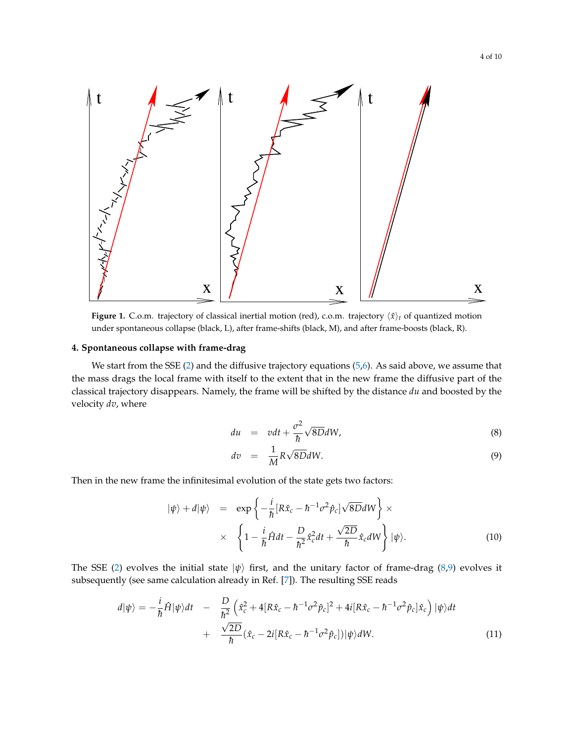

**Figure 1.** C.o.m. trajectory of classical inertial motion (red), c.o.m. trajectory  $\langle \hat{x} \rangle_t$  of quantized motion under spontaneous collapse (black, L), after frame-shifts (black, M), and after frame-boosts (black, R).

# <span id="page-3-0"></span>**4. Spontaneous collapse with frame-drag**

We start from the SSE [\(2\)](#page-1-2) and the diffusive trajectory equations [\(5,6\)](#page-1-3). As said above, we assume that the mass drags the local frame with itself to the extent that in the new frame the diffusive part of the classical trajectory disappears. Namely, the frame will be shifted by the distance *du* and boosted by the velocity *dv*, where

<span id="page-3-1"></span>
$$
du = vdt + \frac{\sigma^2}{\hbar} \sqrt{8D} dW, \qquad (8)
$$

$$
dv = \frac{1}{M} R \sqrt{8D} dW.
$$
 (9)

Then in the new frame the infinitesimal evolution of the state gets two factors:

$$
|\psi\rangle + d|\psi\rangle = \exp\left\{-\frac{i}{\hbar}[R\hat{x}_c - \hbar^{-1}\sigma^2\hat{p}_c]\sqrt{8D}dW\right\} \times \times \left\{1 - \frac{i}{\hbar}\hat{H}dt - \frac{D}{\hbar^2}\hat{x}_c^2dt + \frac{\sqrt{2D}}{\hbar}\hat{x}_c dW\right\}|\psi\rangle.
$$
 (10)

The SSE [\(2\)](#page-1-2) evolves the initial state  $|\psi\rangle$  first, and the unitary factor of frame-drag [\(8,9\)](#page-3-1) evolves it subsequently (see same calculation already in Ref. [\[7\]](#page-9-4)). The resulting SSE reads

$$
d|\psi\rangle = -\frac{i}{\hbar}\hat{H}|\psi\rangle dt - \frac{D}{\hbar^2} \left(\hat{x}_c^2 + 4[R\hat{x}_c - \hbar^{-1}\sigma^2\hat{p}_c]^2 + 4i[R\hat{x}_c - \hbar^{-1}\sigma^2\hat{p}_c]\hat{x}_c\right)|\psi\rangle dt + \frac{\sqrt{2D}}{\hbar}(\hat{x}_c - 2i[R\hat{x}_c - \hbar^{-1}\sigma^2\hat{p}_c])|\psi\rangle dW.
$$
 (11)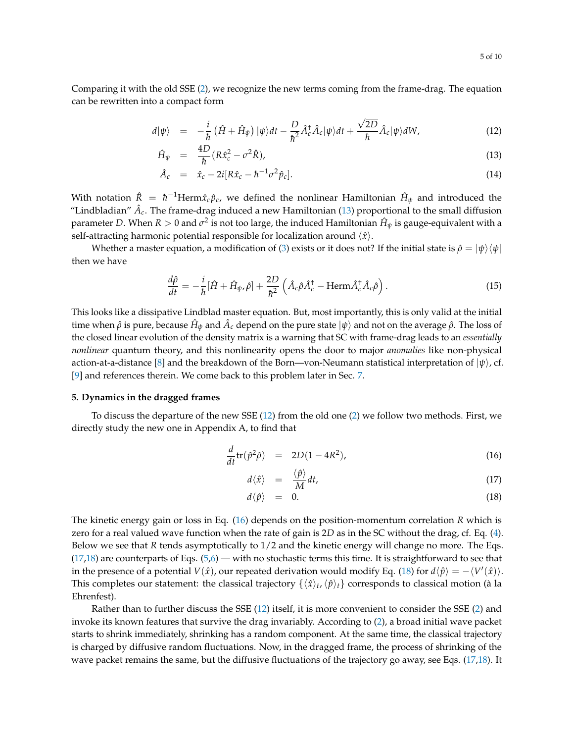Comparing it with the old SSE [\(2\)](#page-1-2), we recognize the new terms coming from the frame-drag. The equation can be rewritten into a compact form

<span id="page-4-1"></span>
$$
d|\psi\rangle = -\frac{i}{\hbar} \left( \hat{H} + \hat{H}_{\psi} \right) |\psi\rangle dt - \frac{D}{\hbar^2} \hat{A}_c^{\dagger} \hat{A}_c |\psi\rangle dt + \frac{\sqrt{2D}}{\hbar} \hat{A}_c |\psi\rangle dW, \qquad (12)
$$

$$
\hat{H}_{\psi} = \frac{4D}{\hbar} (R\hat{x}_c^2 - \sigma^2 \hat{R}), \tag{13}
$$

$$
\hat{A}_c = \hat{x}_c - 2i[R\hat{x}_c - \hbar^{-1}\sigma^2\hat{p}_c]. \tag{14}
$$

With notation  $\hat{R} = \hbar^{-1}\text{Herm}\hat{x}_c\hat{p}_c$ , we defined the nonlinear Hamiltonian  $\hat{H}_\psi$  and introduced the "Lindbladian"  $\hat{A}_c$ . The frame-drag induced a new Hamiltonian [\(13\)](#page-4-1) proportional to the small diffusion parameter *D*. When  $R > 0$  and  $\sigma^2$  is not too large, the induced Hamiltonian  $\hat{H}_\psi$  is gauge-equivalent with a self-attracting harmonic potential responsible for localization around  $\langle \hat{x} \rangle$ .

Whether a master equation, a modification of [\(3\)](#page-1-4) exists or it does not? If the initial state is  $\hat{\rho} = |\psi\rangle\langle\psi|$ then we have

<span id="page-4-3"></span>
$$
\frac{d\hat{\rho}}{dt} = -\frac{i}{\hbar} [\hat{H} + \hat{H}_{\psi}, \hat{\rho}] + \frac{2D}{\hbar^2} \left( \hat{A}_c \hat{\rho} \hat{A}_c^{\dagger} - \text{Herm}\hat{A}_c^{\dagger} \hat{A}_c \hat{\rho} \right).
$$
(15)

This looks like a dissipative Lindblad master equation. But, most importantly, this is only valid at the initial time when  $\hat\rho$  is pure, because  $\hat H_\psi$  and  $\hat A_c$  depend on the pure state  $\ket\psi$  and not on the average  $\hat\rho.$  The loss of the closed linear evolution of the density matrix is a warning that SC with frame-drag leads to an *essentially nonlinear* quantum theory, and this nonlinearity opens the door to major *anomalies* like non-physical action-at-a-distance [\[8\]](#page-9-7) and the breakdown of the Born—von-Neumann statistical interpretation of  $|\psi\rangle$ , cf. [\[9\]](#page-9-8) and references therein. We come back to this problem later in Sec. [7.](#page-7-0)

#### <span id="page-4-0"></span>**5. Dynamics in the dragged frames**

To discuss the departure of the new SSE [\(12\)](#page-4-1) from the old one [\(2\)](#page-1-2) we follow two methods. First, we directly study the new one in Appendix A, to find that

<span id="page-4-2"></span>
$$
\frac{d}{dt}\text{tr}(\hat{p}^2\hat{\rho}) = 2D(1 - 4R^2),\tag{16}
$$

$$
d\langle \hat{x} \rangle = \frac{\langle \hat{p} \rangle}{M} dt, \tag{17}
$$

$$
d\langle \hat{p} \rangle = 0. \tag{18}
$$

The kinetic energy gain or loss in Eq. [\(16\)](#page-4-2) depends on the position-momentum correlation *R* which is zero for a real valued wave function when the rate of gain is 2*D* as in the SC without the drag, cf. Eq. [\(4\)](#page-1-5). Below we see that *R* tends asymptotically to 1/2 and the kinetic energy will change no more. The Eqs.  $(17,18)$  are counterparts of Eqs.  $(5,6)$  — with no stochastic terms this time. It is straightforward to see that in the presence of a potential  $V(\hat{x})$ , our repeated derivation would modify Eq. [\(18\)](#page-4-2) for  $d\langle \hat{p} \rangle = -\langle V'(\hat{x}) \rangle$ . This completes our statement: the classical trajectory  $\{\langle x\rangle_t, \langle \hat p\rangle_t\}$  corresponds to classical motion (à la Ehrenfest).

Rather than to further discuss the SSE [\(12\)](#page-4-1) itself, it is more convenient to consider the SSE [\(2\)](#page-1-2) and invoke its known features that survive the drag invariably. According to [\(2\)](#page-1-2), a broad initial wave packet starts to shrink immediately, shrinking has a random component. At the same time, the classical trajectory is charged by diffusive random fluctuations. Now, in the dragged frame, the process of shrinking of the wave packet remains the same, but the diffusive fluctuations of the trajectory go away, see Eqs. [\(17,18\)](#page-4-2). It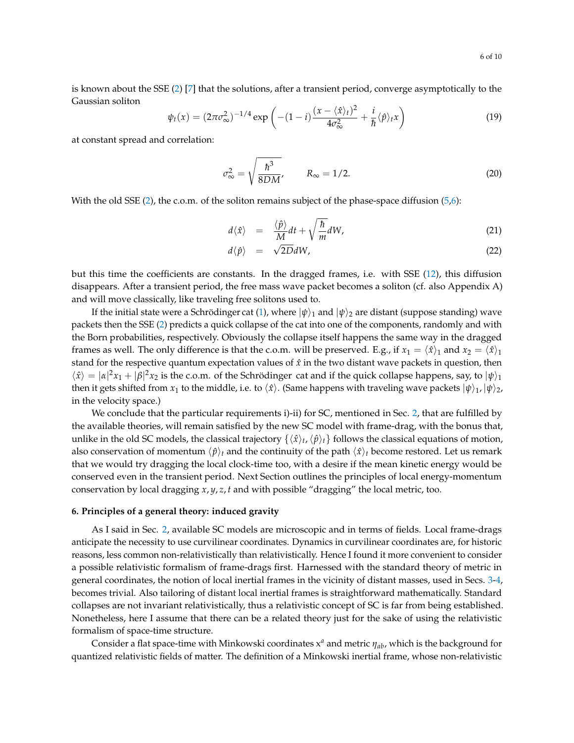is known about the SSE [\(2\)](#page-1-2) [\[7\]](#page-9-4) that the solutions, after a transient period, converge asymptotically to the Gaussian soliton

$$
\psi_t(x) = (2\pi\sigma_\infty^2)^{-1/4} \exp\left(-(1-i)\frac{(x-\langle\hat{x}\rangle_t)^2}{4\sigma_\infty^2} + \frac{i}{\hbar}\langle\hat{p}\rangle_t x\right)
$$
(19)

at constant spread and correlation:

$$
\sigma_{\infty}^2 = \sqrt{\frac{\hbar^3}{8DM}}, \qquad R_{\infty} = 1/2.
$$
 (20)

With the old SSE  $(2)$ , the c.o.m. of the soliton remains subject of the phase-space diffusion  $(5,6)$ :

$$
d\langle \hat{x} \rangle = \frac{\langle \hat{p} \rangle}{M} dt + \sqrt{\frac{\hbar}{m}} dW, \tag{21}
$$

$$
d\langle \hat{p} \rangle = \sqrt{2D}dW, \tag{22}
$$

but this time the coefficients are constants. In the dragged frames, i.e. with SSE [\(12\)](#page-4-1), this diffusion disappears. After a transient period, the free mass wave packet becomes a soliton (cf. also Appendix A) and will move classically, like traveling free solitons used to.

If the initial state were a Schrödinger cat [\(1\)](#page-0-0), where  $|\psi\rangle_1$  and  $|\psi\rangle_2$  are distant (suppose standing) wave packets then the SSE [\(2\)](#page-1-2) predicts a quick collapse of the cat into one of the components, randomly and with the Born probabilities, respectively. Obviously the collapse itself happens the same way in the dragged frames as well. The only difference is that the c.o.m. will be preserved. E.g., if  $x_1 = \langle \hat{x} \rangle_1$  and  $x_2 = \langle \hat{x} \rangle_1$ stand for the respective quantum expectation values of *x*ˆ in the two distant wave packets in question, then  $\langle \hat{x} \rangle = |\alpha|^2 x_1 + |\beta|^2 x_2$  is the c.o.m. of the Schrödinger cat and if the quick collapse happens, say, to  $|\psi\rangle_1$ then it gets shifted from *x*<sub>1</sub> to the middle, i.e. to  $\langle \hat{x} \rangle$ . (Same happens with traveling wave packets  $|\psi\rangle_1$ ,  $|\psi\rangle_2$ , in the velocity space.)

We conclude that the particular requirements i)-ii) for SC, mentioned in Sec. [2,](#page-1-0) that are fulfilled by the available theories, will remain satisfied by the new SC model with frame-drag, with the bonus that, unlike in the old SC models, the classical trajectory  $\{\langle x\rangle_t,\langle \hat p\rangle_t\}$  follows the classical equations of motion, also conservation of momentum  $\langle \hat{p} \rangle_t$  and the continuity of the path  $\langle \hat{x} \rangle_t$  become restored. Let us remark that we would try dragging the local clock-time too, with a desire if the mean kinetic energy would be conserved even in the transient period. Next Section outlines the principles of local energy-momentum conservation by local dragging *x*, *y*, *z*, *t* and with possible "dragging" the local metric, too.

# <span id="page-5-0"></span>**6. Principles of a general theory: induced gravity**

As I said in Sec. [2,](#page-1-0) available SC models are microscopic and in terms of fields. Local frame-drags anticipate the necessity to use curvilinear coordinates. Dynamics in curvilinear coordinates are, for historic reasons, less common non-relativistically than relativistically. Hence I found it more convenient to consider a possible relativistic formalism of frame-drags first. Harnessed with the standard theory of metric in general coordinates, the notion of local inertial frames in the vicinity of distant masses, used in Secs. [3](#page-1-1)[-4,](#page-3-0) becomes trivial. Also tailoring of distant local inertial frames is straightforward mathematically. Standard collapses are not invariant relativistically, thus a relativistic concept of SC is far from being established. Nonetheless, here I assume that there can be a related theory just for the sake of using the relativistic formalism of space-time structure.

Consider a flat space-time with Minkowski coordinates x *<sup>a</sup>* and metric *ηab*, which is the background for quantized relativistic fields of matter. The definition of a Minkowski inertial frame, whose non-relativistic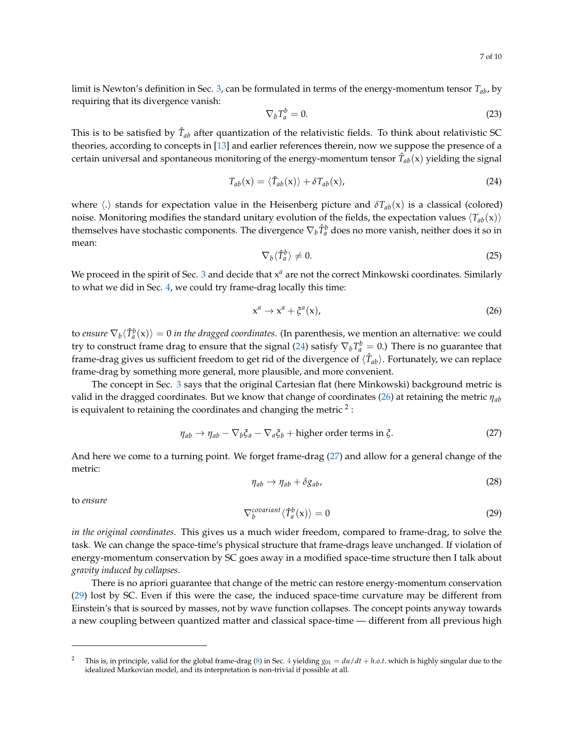limit is Newton's definition in Sec. [3,](#page-1-1) can be formulated in terms of the energy-momentum tensor  $T_{ab}$ , by requiring that its divergence vanish:

$$
\nabla_b T_a^b = 0. \tag{23}
$$

This is to be satisfied by  $\hat{T}_{ab}$  after quantization of the relativistic fields. To think about relativistic SC theories, according to concepts in [\[13\]](#page-9-9) and earlier references therein, now we suppose the presence of a certain universal and spontaneous monitoring of the energy-momentum tensor  $\hat{T}_{ab}({\mathsf{x}})$  yielding the signal

<span id="page-6-0"></span>
$$
T_{ab}(\mathbf{x}) = \langle \hat{T}_{ab}(\mathbf{x}) \rangle + \delta T_{ab}(\mathbf{x}), \qquad (24)
$$

where  $\langle \cdot \rangle$  stands for expectation value in the Heisenberg picture and  $\delta T_{ab}(x)$  is a classical (colored) noise. Monitoring modifies the standard unitary evolution of the fields, the expectation values  $\langle T_{ab}(x)\rangle$ themselves have stochastic components. The divergence  $\nabla_b \hat{T}^b_a$  does no more vanish, neither does it so in mean:

$$
\nabla_b \langle \hat{T}_a^b \rangle \neq 0. \tag{25}
$$

We proceed in the spirit of Sec. [3](#page-1-1) and decide that  $x^a$  are not the correct Minkowski coordinates. Similarly to what we did in Sec. [4,](#page-3-0) we could try frame-drag locally this time:

<span id="page-6-1"></span>
$$
x^a \to x^a + \xi^a(x), \tag{26}
$$

to *ensure*  $\nabla_b\langle \hat{T}^b_a({\bf x})\rangle=0$  *in the dragged coordinates*. (In parenthesis, we mention an alternative: we could try to construct frame drag to ensure that the signal [\(24\)](#page-6-0) satisfy  $\nabla_b T_a^b = 0$ .) There is no guarantee that frame-drag gives us sufficient freedom to get rid of the divergence of  $\langle \hat{T}_{ab}\rangle$ . Fortunately, we can replace frame-drag by something more general, more plausible, and more convenient.

The concept in Sec. [3](#page-1-1) says that the original Cartesian flat (here Minkowski) background metric is valid in the dragged coordinates. But we know that change of coordinates [\(26\)](#page-6-1) at retaining the metric *ηab* is equivalent to retaining the coordinates and changing the metric  $^2$  :

<span id="page-6-2"></span>
$$
\eta_{ab} \to \eta_{ab} - \nabla_b \xi_a - \nabla_a \xi_b + \text{higher order terms in } \xi.
$$
 (27)

And here we come to a turning point. We forget frame-drag [\(27\)](#page-6-2) and allow for a general change of the metric:

$$
\eta_{ab} \to \eta_{ab} + \delta g_{ab}, \tag{28}
$$

to *ensure*

<span id="page-6-3"></span>
$$
\nabla_b^{\text{covariant}} \langle \hat{T}_a^b(\mathbf{x}) \rangle = 0 \tag{29}
$$

*in the original coordinates*. This gives us a much wider freedom, compared to frame-drag, to solve the task. We can change the space-time's physical structure that frame-drags leave unchanged. If violation of energy-momentum conservation by SC goes away in a modified space-time structure then I talk about *gravity induced by collapses*.

There is no apriori guarantee that change of the metric can restore energy-momentum conservation [\(29\)](#page-6-3) lost by SC. Even if this were the case, the induced space-time curvature may be different from Einstein's that is sourced by masses, not by wave function collapses. The concept points anyway towards a new coupling between quantized matter and classical space-time — different from all previous high

<sup>&</sup>lt;sup>2</sup> This is, in principle, valid for the global frame-drag [\(8\)](#page-3-1) in Sec. [4](#page-3-0) yielding  $g_{01} = du/dt + h.o.t$ . which is highly singular due to the idealized Markovian model, and its interpretation is non-trivial if possible at all.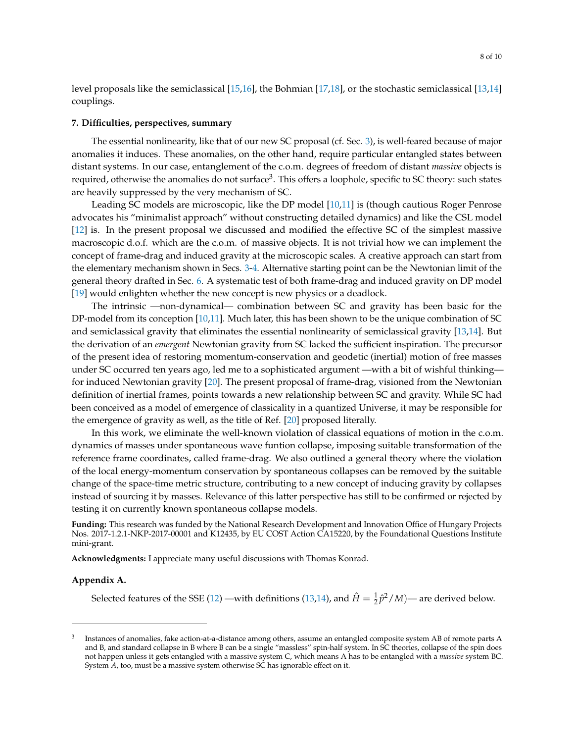level proposals like the semiclassical [\[15,](#page-9-10)[16\]](#page-9-11), the Bohmian [\[17,](#page-9-12)[18\]](#page-9-13), or the stochastic semiclassical [\[13,](#page-9-9)[14\]](#page-9-14) couplings.

# <span id="page-7-0"></span>**7. Difficulties, perspectives, summary**

The essential nonlinearity, like that of our new SC proposal (cf. Sec. [3\)](#page-1-1), is well-feared because of major anomalies it induces. These anomalies, on the other hand, require particular entangled states between distant systems. In our case, entanglement of the c.o.m. degrees of freedom of distant *massive* objects is required, otherwise the anomalies do not surface $^3$ . This offers a loophole, specific to SC theory: such states are heavily suppressed by the very mechanism of SC.

Leading SC models are microscopic, like the DP model [\[10,](#page-9-15)[11\]](#page-9-16) is (though cautious Roger Penrose advocates his "minimalist approach" without constructing detailed dynamics) and like the CSL model [\[12\]](#page-9-17) is. In the present proposal we discussed and modified the effective SC of the simplest massive macroscopic d.o.f. which are the c.o.m. of massive objects. It is not trivial how we can implement the concept of frame-drag and induced gravity at the microscopic scales. A creative approach can start from the elementary mechanism shown in Secs. [3](#page-1-1)[-4.](#page-3-0) Alternative starting point can be the Newtonian limit of the general theory drafted in Sec. [6.](#page-5-0) A systematic test of both frame-drag and induced gravity on DP model [\[19\]](#page-9-18) would enlighten whether the new concept is new physics or a deadlock.

The intrinsic —non-dynamical— combination between SC and gravity has been basic for the DP-model from its conception [\[10](#page-9-15)[,11\]](#page-9-16). Much later, this has been shown to be the unique combination of SC and semiclassical gravity that eliminates the essential nonlinearity of semiclassical gravity [\[13,](#page-9-9)[14\]](#page-9-14). But the derivation of an *emergent* Newtonian gravity from SC lacked the sufficient inspiration. The precursor of the present idea of restoring momentum-conservation and geodetic (inertial) motion of free masses under SC occurred ten years ago, led me to a sophisticated argument —with a bit of wishful thinking for induced Newtonian gravity [\[20\]](#page-9-19). The present proposal of frame-drag, visioned from the Newtonian definition of inertial frames, points towards a new relationship between SC and gravity. While SC had been conceived as a model of emergence of classicality in a quantized Universe, it may be responsible for the emergence of gravity as well, as the title of Ref. [\[20\]](#page-9-19) proposed literally.

In this work, we eliminate the well-known violation of classical equations of motion in the c.o.m. dynamics of masses under spontaneous wave funtion collapse, imposing suitable transformation of the reference frame coordinates, called frame-drag. We also outlined a general theory where the violation of the local energy-momentum conservation by spontaneous collapses can be removed by the suitable change of the space-time metric structure, contributing to a new concept of inducing gravity by collapses instead of sourcing it by masses. Relevance of this latter perspective has still to be confirmed or rejected by testing it on currently known spontaneous collapse models.

**Funding:** This research was funded by the National Research Development and Innovation Office of Hungary Projects Nos. 2017-1.2.1-NKP-2017-00001 and K12435, by EU COST Action CA15220, by the Foundational Questions Institute mini-grant.

**Acknowledgments:** I appreciate many useful discussions with Thomas Konrad.

#### **Appendix A.**

Selected features of the SSE [\(12\)](#page-4-1) —with definitions [\(13,14\)](#page-4-1), and  $\hat{H} = \frac{1}{2}\hat{p}^2/M$ )— are derived below.

<sup>3</sup> Instances of anomalies, fake action-at-a-distance among others, assume an entangled composite system AB of remote parts A and B, and standard collapse in B where B can be a single "massless" spin-half system. In SC theories, collapse of the spin does not happen unless it gets entangled with a massive system C, which means A has to be entangled with a *massive* system BC. System *A*, too, must be a massive system otherwise SC has ignorable effect on it.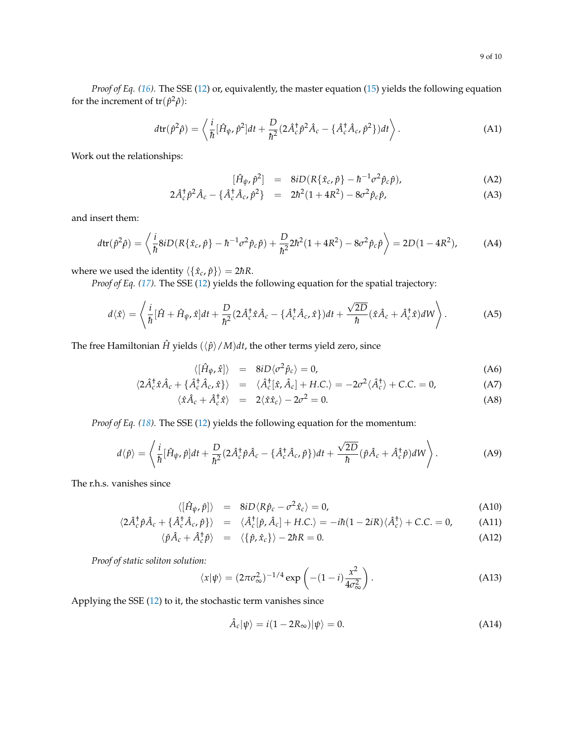*Proof of Eq. [\(16\)](#page-4-2).* The SSE [\(12\)](#page-4-1) or, equivalently, the master equation [\(15\)](#page-4-3) yields the following equation for the increment of  $tr(\hat{p}^2\hat{\rho})$ :

$$
d\text{tr}(\hat{p}^2\hat{\rho}) = \left\langle \frac{i}{\hbar} [\hat{H}_{\psi}, \hat{p}^2] dt + \frac{D}{\hbar^2} (2\hat{A}_c^{\dagger} \hat{p}^2 \hat{A}_c - {\hat{A}_c^{\dagger} \hat{A}_c, \hat{p}^2}) dt \right\rangle.
$$
 (A1)

Work out the relationships:

$$
[\hat{H}_{\psi}, \hat{p}^2] = 8iD(R\{\hat{x}_c, \hat{p}\} - \hbar^{-1}\sigma^2 \hat{p}_c \hat{p}), \qquad (A2)
$$

$$
2\hat{A}_c^{\dagger} \hat{p}^2 \hat{A}_c - \{\hat{A}_c^{\dagger} \hat{A}_c, \hat{p}^2\} = 2\hbar^2 (1 + 4R^2) - 8\sigma^2 \hat{p}_c \hat{p}, \tag{A3}
$$

and insert them:

$$
d\text{tr}(\hat{p}^2\hat{\rho}) = \left\langle \frac{i}{\hbar} 8iD(R\{\hat{x}_c, \hat{p}\} - \hbar^{-1}\sigma^2 \hat{p}_c \hat{p}) + \frac{D}{\hbar^2} 2\hbar^2 (1 + 4R^2) - 8\sigma^2 \hat{p}_c \hat{p} \right\rangle = 2D(1 - 4R^2), \tag{A4}
$$

where we used the identity  $\langle \{\hat{x}_c, \hat{p}\}\rangle = 2\hbar R$ .

*Proof of Eq. [\(17\)](#page-4-2).* The SSE [\(12\)](#page-4-1) yields the following equation for the spatial trajectory:

$$
d\langle \hat{x} \rangle = \left\langle \frac{i}{\hbar} [\hat{H} + \hat{H}_{\psi}, \hat{x}] dt + \frac{D}{\hbar^2} (2 \hat{A}_c^{\dagger} \hat{x} \hat{A}_c - \{\hat{A}_c^{\dagger} \hat{A}_c, \hat{x}\}) dt + \frac{\sqrt{2D}}{\hbar} (\hat{x} \hat{A}_c + \hat{A}_c^{\dagger} \hat{x}) dW \right\rangle.
$$
 (A5)

The free Hamiltonian  $\hat{H}$  yields  $(\langle \hat{p} \rangle / M)dt$ , the other terms yield zero, since

$$
\langle [\hat{H}_{\psi}, \hat{x}] \rangle = 8iD \langle \sigma^2 \hat{p}_c \rangle = 0, \tag{A6}
$$

$$
\langle 2\hat{A}_c^{\dagger} \hat{x} \hat{A}_c + \{\hat{A}_c^{\dagger} \hat{A}_c, \hat{x}\} \rangle = \langle \hat{A}_c^{\dagger} [\hat{x}, \hat{A}_c] + H.C. \rangle = -2\sigma^2 \langle \hat{A}_c^{\dagger} \rangle + C.C. = 0,
$$
 (A7)

$$
\langle \hat{x} \hat{A}_c + \hat{A}_c^{\dagger} \hat{x} \rangle = 2 \langle \hat{x} \hat{x}_c \rangle - 2\sigma^2 = 0.
$$
 (A8)

*Proof of Eq. [\(18\)](#page-4-2).* The SSE [\(12\)](#page-4-1) yields the following equation for the momentum:

$$
d\langle \hat{p} \rangle = \left\langle \frac{i}{\hbar} [\hat{H}_{\psi}, \hat{p}] dt + \frac{D}{\hbar^{2}} (2 \hat{A}_{c}^{\dagger} \hat{p} \hat{A}_{c} - \{\hat{A}_{c}^{\dagger} \hat{A}_{c}, \hat{p}\}) dt + \frac{\sqrt{2D}}{\hbar} (\hat{p} \hat{A}_{c} + \hat{A}_{c}^{\dagger} \hat{p}) dW \right\rangle.
$$
 (A9)

The r.h.s. vanishes since

$$
\langle [\hat{H}_{\psi}, \hat{p}] \rangle = 8iD \langle R\hat{p}_c - \sigma^2 \hat{x}_c \rangle = 0, \tag{A10}
$$

$$
\langle 2\hat{A}_c^{\dagger} \hat{p} \hat{A}_c + \{\hat{A}_c^{\dagger} \hat{A}_c, \hat{p}\}\rangle = \langle \hat{A}_c^{\dagger} [\hat{p}, \hat{A}_c] + H.C. \rangle = -i\hbar (1 - 2iR) \langle \hat{A}_c^{\dagger} \rangle + C.C. = 0,
$$
 (A11)

$$
\langle \hat{p}\hat{A}_c + \hat{A}_c^{\dagger} \hat{p} \rangle = \langle \{\hat{p}, \hat{x}_c\} \rangle - 2\hbar R = 0. \tag{A12}
$$

*Proof of static soliton solution:*

$$
\langle x|\psi\rangle = (2\pi\sigma_{\infty}^2)^{-1/4} \exp\left(-(1-i)\frac{x^2}{4\sigma_{\infty}^2}\right).
$$
 (A13)

Applying the SSE [\(12\)](#page-4-1) to it, the stochastic term vanishes since

$$
\hat{A}_c|\psi\rangle = i(1 - 2R_\infty)|\psi\rangle = 0.
$$
\n(A14)